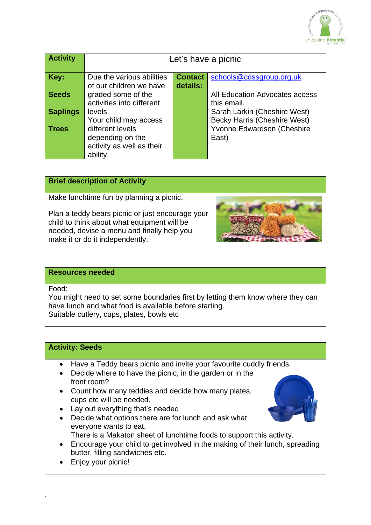

| <b>Activity</b> | Let's have a picnic                                                           |                |                                                                     |
|-----------------|-------------------------------------------------------------------------------|----------------|---------------------------------------------------------------------|
| Key:            | Due the various abilities                                                     | <b>Contact</b> | schools@cdssgroup.org.uk                                            |
| <b>Seeds</b>    | of our children we have<br>graded some of the<br>activities into different    | details:       | All Education Advocates access<br>this email.                       |
| <b>Saplings</b> | levels.<br>Your child may access                                              |                | Sarah Larkin (Cheshire West)<br><b>Becky Harris (Cheshire West)</b> |
| <b>Trees</b>    | different levels<br>depending on the<br>activity as well as their<br>ability. |                | Yvonne Edwardson (Cheshire<br>East)                                 |

## **Brief description of Activity**

Make lunchtime fun by planning a picnic.

Plan a teddy bears picnic or just encourage your child to think about what equipment will be needed, devise a menu and finally help you make it or do it independently.



### **Resources needed**

Food:

`

You might need to set some boundaries first by letting them know where they can have lunch and what food is available before starting. Suitable cutlery, cups, plates, bowls etc

## **Activity: Seeds**

- Have a Teddy bears picnic and invite your favourite cuddly friends.
- Decide where to have the picnic, in the garden or in the front room?
- Count how many teddies and decide how many plates, cups etc will be needed.
- Lay out everything that's needed
- Decide what options there are for lunch and ask what everyone wants to eat. There is a Makaton sheet of lunchtime foods to support this activity.
- 
- Encourage your child to get involved in the making of their lunch, spreading butter, filling sandwiches etc.
- Enjoy your picnic!